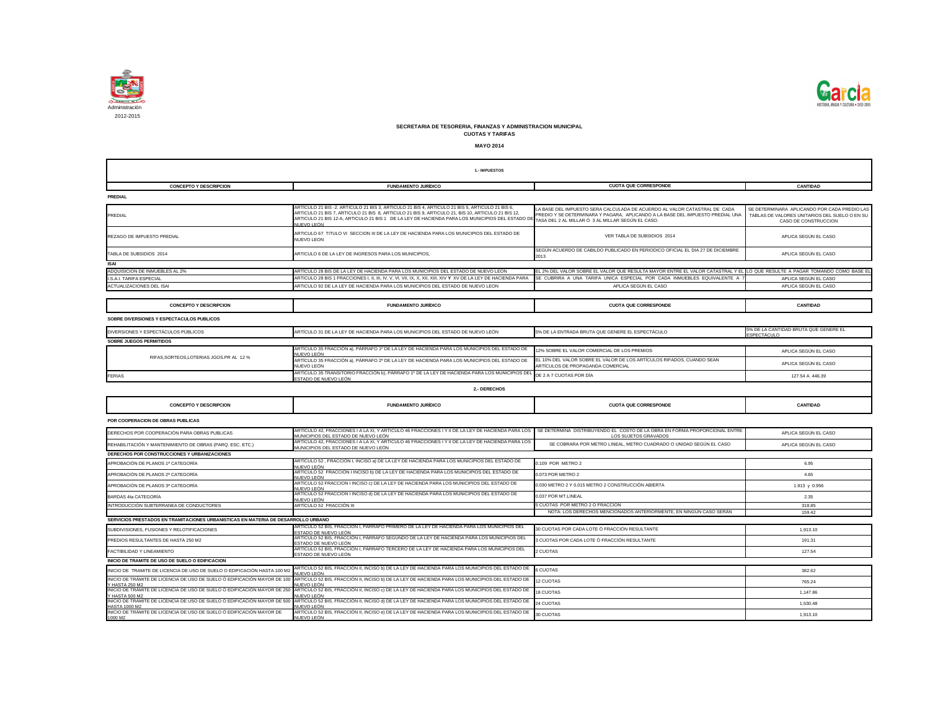

| 1.- IMPUESTOS                                                                              |                                                                                                                                                                                                                       |                                                                                                                                     |                                                                       |  |
|--------------------------------------------------------------------------------------------|-----------------------------------------------------------------------------------------------------------------------------------------------------------------------------------------------------------------------|-------------------------------------------------------------------------------------------------------------------------------------|-----------------------------------------------------------------------|--|
|                                                                                            |                                                                                                                                                                                                                       |                                                                                                                                     |                                                                       |  |
| <b>CONCEPTO Y DESCRIPCION</b>                                                              | <b>FUNDAMENTO JURÍDICO</b>                                                                                                                                                                                            | <b>CUOTA QUE CORRESPONDE</b>                                                                                                        | <b>CANTIDAD</b>                                                       |  |
| <b>PREDIAL</b>                                                                             |                                                                                                                                                                                                                       |                                                                                                                                     |                                                                       |  |
|                                                                                            | ARTÍCULO 21 BIS-2. ARTÍCULO 21 BIS 3, ARTÍCULO 21 BIS 4, ARTÍCULO 21 BIS 5, ARTÍCULO 21 BIS 6,                                                                                                                        | LA BASE DEL IMPUESTO SERA CALCULADA DE ACUERDO AL VALOR CATASTRAL DE CADA                                                           | SE DETERMINARA APLICANDO POR CADA PREDIO LAS                          |  |
| PREDIAL                                                                                    | ,ARTICULO 21 BIS 7, ARTICULO 21 BIS  8, ARTICULO 21 BIS 9, ARTICULO 21, BIS 10, ARTICULO 21 BIS 12<br>ARTICULO 21 BIS 12-A, ARTICULO 21 BIS 1 DE LA LEY DE HACIENDA PARA LOS MUNICIPIOS DEL ESTADO DE<br>ILIFVO I FÓN | PREDIO Y SE DETERMINARA Y PAGARA, APLICANDO A LA BASE DEL IMPUESTO PREDIAL UNA<br>TASA DEL 2 AL MILLAR Ó 3 AL MILLAR SEGÚN EL CASO. | TABLAS DE VALORES UNITARIOS DEL SUELO O EN SU<br>CASO DE CONSTRUCCION |  |
| REZAGO DE IMPUESTO PREDIAL                                                                 | ARTICULO 67 TITULO VI SECCION III DE LA LEY DE HACIENDA PARA LOS MUNICIPIOS DEL ESTADO DE<br><b>NUEVO LEON</b>                                                                                                        | VER TABLA DE SUBSIDIOS 2014                                                                                                         | APLICA SEGÚN EL CASO                                                  |  |
| TABLA DE SUBSIDIOS 2014                                                                    | ARTICULO 6 DE LA LEY DE INGRESOS PARA LOS MUNICIPIOS.                                                                                                                                                                 | SEGÚN ACUERDO DE CABILDO PUBLICADO EN PERIODICO OFICIAL EL DIA 27 DE DICIEMBRE<br>2013                                              | APLICA SEGÚN EL CASO                                                  |  |
| <b>ISAI</b>                                                                                |                                                                                                                                                                                                                       |                                                                                                                                     |                                                                       |  |
| ADQUISICION DE INMUEBLES AL 2%                                                             | ARTÍCULO 28 BIS DE LA LEY DE HACIENDA PARA LOS MUNICIPIOS DEL ESTADO DE NUEVO LEON                                                                                                                                    | EL 2% DEL VALOR SOBRE EL VALOR QUE RESULTA MAYOR ENTRE EL VALOR CATASTRAL Y EL LO QUE RESULTE A PAGAR TOMANDO COMO BASE EL          |                                                                       |  |
| I.S.A.I. TARIFA ESPECIAL                                                                   |                                                                                                                                                                                                                       | SE CUBRIRA A UNA TARIFA UNICA ESPECIAL POR CADA INMUEBLES EQUIVALENTE A                                                             | APLICA SEGÚN EL CASO                                                  |  |
| ACTUALIZACIONES DEL ISAI                                                                   | ARTICULO 92 DE LA LEY DE HACIENDA PARA LOS MUNICIPIOS DEL ESTADO DE NUEVO LEON                                                                                                                                        | APLICA SEGÚN EL CASO                                                                                                                | APLICA SEGÚN EL CASO                                                  |  |
|                                                                                            |                                                                                                                                                                                                                       |                                                                                                                                     |                                                                       |  |
| <b>CONCEPTO Y DESCRIPCION</b>                                                              | <b>FUNDAMENTO JURÍDICO</b>                                                                                                                                                                                            | <b>CUOTA QUE CORRESPONDE</b>                                                                                                        | <b>CANTIDAD</b>                                                       |  |
| SOBRE DIVERSIONES Y ESPECTACULOS PUBLICOS                                                  |                                                                                                                                                                                                                       |                                                                                                                                     |                                                                       |  |
| DIVERSIONES Y ESPECTÁCULOS PÚBLICOS                                                        | ARTÍCULO 31 DE LA LEY DE HACIENDA PARA LOS MUNICIPIOS DEL ESTADO DE NUEVO LEÓN                                                                                                                                        | 5% DE LA ENTRADA BRUTA QUE GENERE EL ESPECTÁCULO                                                                                    | 5% DE LA CANTIDAD BRUTA QUE GENERE EL<br>ESPECTÁCULO                  |  |
| <b>SOBRE JUEGOS PERMITIDOS</b>                                                             |                                                                                                                                                                                                                       |                                                                                                                                     |                                                                       |  |
|                                                                                            | ARTÍCULO 35 FRACCIÓN a), PÁRRAFO 1º DE LA LEY DE HACIENDA PARA LOS MUNICIPIOS DEL ESTADO DE                                                                                                                           | 12% SOBRE EL VALOR COMERCIAL DE LOS PREMIOS                                                                                         | APLICA SEGÚN EL CASO                                                  |  |
| RIFAS, SORTEOS, LOTERIAS JGOS.PR AL 12 %                                                   | IUEVO LEÓN<br>ARTÍCULO 35 FRACCIÓN a), PÁRRAFO 2º DE LA LEY DE HACIENDA PARA LOS MUNICIPIOS DEL ESTADO DE<br>NUEVO LEÓN                                                                                               | EL 10% DEL VALOR SOBRE EL VALOR DE LOS ARTÍCULOS RIFADOS, CUANDO SEAN<br>ARTÍCULOS DE PROPAGANDA COMERCIAL                          | APLICA SEGÚN EL CASO                                                  |  |
| <b>FERIAS</b>                                                                              | ARTÍCULO 35 TRANSITORIO FRACCIÓN b), PÁRRAFO 1º DE LA LEY DE HACIENDA PARA LOS MUNICIPIOS DE<br>ESTADO DE NUEVO LEÓN                                                                                                  | DE 2 A 7 CUOTAS POR DÍA                                                                                                             | 127.54 A 446.39                                                       |  |
|                                                                                            | 2.- DERECHOS                                                                                                                                                                                                          |                                                                                                                                     |                                                                       |  |
|                                                                                            |                                                                                                                                                                                                                       |                                                                                                                                     |                                                                       |  |
| <b>CONCEPTO Y DESCRIPCION</b>                                                              | <b>FUNDAMENTO JURÍDICO</b>                                                                                                                                                                                            | <b>CUOTA QUE CORRESPONDE</b>                                                                                                        | <b>CANTIDAD</b>                                                       |  |
| POR COOPERACION DE OBRAS PUBLICAS                                                          |                                                                                                                                                                                                                       |                                                                                                                                     |                                                                       |  |
| DERECHOS POR COOPERACIÓN PARA OBRAS PUBLICAS                                               | ARTÍCULO 42, FRACCIONES I A LA XI, Y ARTICULO 46 FRACCIONES I Y II DE LA LEY DE HACIENDA PARA LOS   SE DETERMINA DISTRIBUYENDO EL COSTO DE LA OBRA EN FORMA PROPORCIONAL ENTRE<br>MUNICIPIOS DEL ESTADO DE NUEVO LEÓN | LOS SUJETOS GRAVADOS                                                                                                                | APLICA SEGÚN EL CASO                                                  |  |
| REHABILITACIÓN Y MANTENIMIENTO DE OBRAS (PARQ. ESC. ETC.)                                  | ARTÍCULO 42, FRACCIONES I A LA XI, Y ARTICULO 46 FRACCIONES I Y II DE LA LEY DE HACIENDA PARA LOS<br>MUNICIPIOS DEL ESTADO DE NUEVO LEÓN                                                                              | SE COBRARA POR METRO LINEAL, METRO CUADRADO O UNIDAD SEGUN EL CASO                                                                  | APLICA SEGUN EL CASO                                                  |  |
| DERECHOS POR CONSTRUCCIONES Y URBANIZACIONES                                               |                                                                                                                                                                                                                       |                                                                                                                                     |                                                                       |  |
| APROBACIÓN DE PLANOS 1ª CATEGORÍA                                                          | ARTÍCULO 52, FRACCIÓN I, INCISO a) DE LA LEY DE HACIENDA PARA LOS MUNICIPIOS DEL ESTADO DE<br>IUEVO LEÓN                                                                                                              | 0.109 POR METRO 2                                                                                                                   | 6.95                                                                  |  |
| APROBACIÓN DE PLANOS 2ª CATEGORÍA                                                          | ARTÍCULO 52 FRACCIÓN I INCISO b) DE LA LEY DE HACIENDA PARA LOS MUNICIPIOS DEL ESTADO DE<br>IUEVO LEÓN                                                                                                                | 0.073 POR METRO 2                                                                                                                   | 4.65                                                                  |  |
| APROBACIÓN DE PLANOS 3ª CATEGORÍA                                                          | ARTÍCULO 52 FRACCION I INCISO c) DE LA LEY DE HACIENDA PARA LOS MUNICIPIOS DEL ESTADO DE                                                                                                                              | 0.030 METRO 2 Y 0.015 METRO 2 CONSTRUCCIÓN ABIERTA                                                                                  | 1.913 y 0.956                                                         |  |
| <b>BARDAS 4ta CATEGORÍA</b>                                                                | IUEVO LEÓN<br>ARTÍCULO 52 FRACCION I INCISO d) DE LA LEY DE HACIENDA PARA LOS MUNICIPIOS DEL ESTADO DE                                                                                                                | 0.037 POR MT.LINEAL                                                                                                                 | 2.35                                                                  |  |
| INTRODUCCIÓN SUBTERRANEA DE CONDUCTORES                                                    | JUEVO LEÓN<br>ARTÍCULO 52 FRACCIÓN III                                                                                                                                                                                | 5 CUOTAS POR METRO 2 O FRACCION                                                                                                     | 318.85                                                                |  |
|                                                                                            |                                                                                                                                                                                                                       | NOTA: LOS DERECHOS MENCIONADOS ANTERIORMENTE, EN NINGÚN CASO SERÁN                                                                  | 159.42                                                                |  |
| SERVICIOS PRESTADOS EN TRAMITACIONES URBANISTICAS EN MATERIA DE DESARROLLO URBANO          |                                                                                                                                                                                                                       |                                                                                                                                     |                                                                       |  |
| SUBDIVISIONES, FUSIONES Y RELOTIFICACIONES                                                 | ARTÍCULO 52 BIS, FRACCIÓN I, PÁRRAFO PRIMERO DE LA LEY DE HACIENDA PARA LOS MUNICIPIOS DEL<br>ESTADO DE NUEVO LEÓN                                                                                                    | 30 CUOTAS POR CADA LOTE Ó FRACCIÓN RESULTANTE                                                                                       | 1,913.10                                                              |  |
| PREDIOS RESULTANTES DE HASTA 250 M2                                                        | ARTÍCULO 52 BIS, FRACCIÓN I, PÁRRAFO SEGUNDO DE LA LEY DE HACIENDA PARA LOS MUNICIPIOS DEL<br>STADO DE NUEVO LEÓN:                                                                                                    | 3 CUOTAS POR CADA LOTE Ó FRACCIÓN RESULTANTE                                                                                        | 191.31                                                                |  |
| FACTIBILIDAD Y LINEAMIENTO                                                                 | ARTÍCULO 52 BIS, FRACCIÓN I, PÁRRAFO TERCERO DE LA LEY DE HACIENDA PARA LOS MUNICIPIOS DEL<br>ESTADO DE NUEVO LEÓN                                                                                                    | 2 CUOTAS                                                                                                                            | 127.54                                                                |  |
| INICIO DE TRAMITE DE USO DE SUELO O EDIFICACION                                            |                                                                                                                                                                                                                       |                                                                                                                                     |                                                                       |  |
| INICIO DE TRAMITE DE LICENCIA DE USO DE SUELO O EDIFICACIÓN HASTA 100 M2                   | ARTÍCULO 52 BIS, FRACCIÓN II, INCISO b) DE LA LEY DE HACIENDA PARA LOS MUNICIPIOS DEL ESTADO DE                                                                                                                       | 6 CUOTAS                                                                                                                            | 382.62                                                                |  |
|                                                                                            | IUEVO LEÓN<br>INICIO DE TRÁMITE DE LICENCIA DE USO DE SUELO Ó EDIFICACIÓN MAYOR DE 100 ARTÍCULO 52 BIS, FRACCIÓN II, INCISO b) DE LA LEY DE HACIENDA PARA LOS MUNICIPIOS DEL ESTADO DE                                | 12 CUOTAS                                                                                                                           | 765.24                                                                |  |
| Y HASTA 250 M2                                                                             | IUEVO LEÓN<br>INICIO DE TRÁMITE DE LICENCIA DE USO DE SUELO Ó EDIFICACIÓN MAYOR DE 250 ARTÍCULO 52 BIS, FRACCIÓN II, INCISO c) DE LA LEY DE HACIENDA PARA LOS MUNICIPIOS DEL ESTADO DE                                | 18 CUOTAS                                                                                                                           | 1,147.86                                                              |  |
| Y HASTA 500 M2<br>INICIO DE TRÁMITE DE LICENCIA DE USO DE SUELO Ó EDIFICACIÓN MAYOR DE 500 | IUEVO LEÓN<br>ARTÍCULO 52 BIS, FRACCIÓN II, INCISO d) DE LA LEY DE HACIENDA PARA LOS MUNICIPIOS DEL ESTADO DE                                                                                                         | 24 CUOTAS                                                                                                                           | 1,530.48                                                              |  |
| <b>HASTA 1000 M2</b>                                                                       | IUEVO LEÓN                                                                                                                                                                                                            |                                                                                                                                     |                                                                       |  |



## **SECRETARIA DE TESORERIA, FINANZAS Y ADMINISTRACION MUNICIPAL CUOTAS Y TARIFAS**

**MAYO 2014**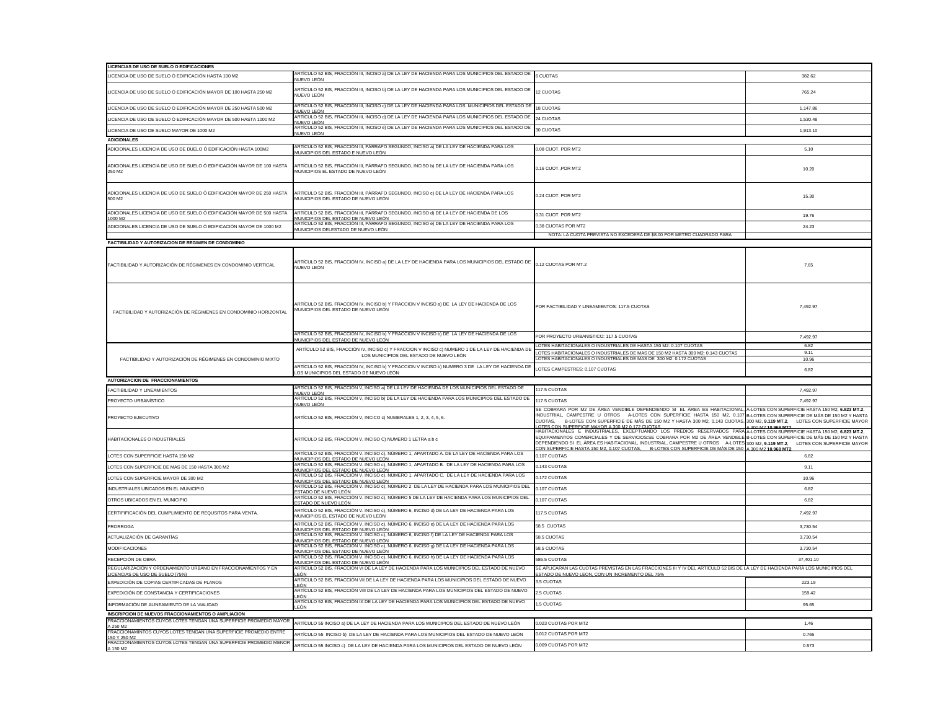| LICENCIAS DE USO DE SUELO O EDIFICACIONES                                                        |                                                                                                                                                                                                                                                          |                                                                                                                                                                                                                                                                                                                                                                                                                                                                                               |                     |
|--------------------------------------------------------------------------------------------------|----------------------------------------------------------------------------------------------------------------------------------------------------------------------------------------------------------------------------------------------------------|-----------------------------------------------------------------------------------------------------------------------------------------------------------------------------------------------------------------------------------------------------------------------------------------------------------------------------------------------------------------------------------------------------------------------------------------------------------------------------------------------|---------------------|
| LICENCIA DE USO DE SUELO Ó EDIFICACIÓN HASTA 100 M2                                              | ARTÍCULO 52 BIS, FRACCIÓN III, INCISO a) DE LA LEY DE HACIENDA PARA LOS MUNICIPIOS DEL ESTADO DE<br>NUEVO LEÓN                                                                                                                                           | <b>6 CUOTAS</b>                                                                                                                                                                                                                                                                                                                                                                                                                                                                               | 382.62              |
| LICENCIA DE USO DE SUELO Ó EDIFICACIÓN MAYOR DE 100 HASTA 250 M2                                 | ARTÍCULO 52 BIS, FRACCIÓN III, INCISO b) DE LA LEY DE HACIENDA PARA LOS MUNICIPIOS DEL ESTADO DE<br>NUEVO LEÓN                                                                                                                                           | 12 CUOTAS                                                                                                                                                                                                                                                                                                                                                                                                                                                                                     | 765.24              |
| LICENCIA DE USO DE SUELO Ó EDIFICACIÓN MAYOR DE 250 HASTA 500 M2                                 | ARTÍCULO 52 BIS, FRACCIÓN III, INCISO c) DE LA LEY DE HACIENDA PARA LOS MUNICIPIOS DEL ESTADO DE 18 CUOTAS<br>NUEVO LEÓN                                                                                                                                 |                                                                                                                                                                                                                                                                                                                                                                                                                                                                                               | 1,147.86            |
| LICENCIA DE USO DE SUELO Ó EDIFICACIÓN MAYOR DE 500 HASTA 1000 M2                                | ARTÍCULO 52 BIS, FRACCIÓN III, INCISO d) DE LA LEY DE HACIENDA PARA LOS MUNICIPIOS DEL ESTADO DE<br>NUEVO LEÓN                                                                                                                                           | 24 CUOTAS                                                                                                                                                                                                                                                                                                                                                                                                                                                                                     | 1,530.48            |
| LICENCIA DE USO DE SUELO MAYOR DE 1000 M2                                                        | ARTÍCULO 52 BIS, FRACCIÓN III, INCISO e) DE LA LEY DE HACIENDA PARA LOS MUNICIPIOS DEL ESTADO DE<br>NUEVO LEÓN                                                                                                                                           | 30 CUOTAS                                                                                                                                                                                                                                                                                                                                                                                                                                                                                     | 1,913.10            |
| <b>ADICIONALES</b>                                                                               |                                                                                                                                                                                                                                                          |                                                                                                                                                                                                                                                                                                                                                                                                                                                                                               |                     |
| ADICIONALES LICENCIA DE USO DE DUELO Ó EDIFICACIÓN HASTA 100M2                                   | ARTÍCULO 52 BIS, FRACCIÓN III, PÁRRAFO SEGUNDO, INCISO a) DE LA LEY DE HACIENDA PARA LOS<br>MUNICIPIOS DEL ESTADO E NUEVO LEÓN                                                                                                                           | 0.08 CUOT. POR MT2                                                                                                                                                                                                                                                                                                                                                                                                                                                                            | 5.10                |
| ADICIONALES LICENCIA DE USO DE SUELO Ó EDIFICACIÓN MAYOR DE 100 HASTA<br>250 M2                  | ARTÍCULO 52 BIS, FRACCIÓN III, PÁRRAFO SEGUNDO, INCISO b) DE LA LEY DE HACIENDA PARA LOS<br>MUNICIPIOS EL ESTADO DE NUEVO LEÓN                                                                                                                           | 0.16 CUOT., POR MT2                                                                                                                                                                                                                                                                                                                                                                                                                                                                           | 10.20               |
| ADICIONALES LICENCIA DE USO DE SUELO Ó EDIFICACIÓN MAYOR DE 250 HASTA<br>500 M2                  | ARTÍCULO 52 BIS, FRACCIÓN III, PÁRRAFO SEGUNDO, INCISO c) DE LA LEY DE HACIENDA PARA LOS<br>MUNICIPIOS DEL ESTADO DE NUEVO LEÓN                                                                                                                          | 0.24 CUOT. POR MT2                                                                                                                                                                                                                                                                                                                                                                                                                                                                            | 15.30               |
| ADICIONALES LICENCIA DE USO DE SUELO Ó EDIFICACIÓN MAYOR DE 500 HASTA<br>1000 M2                 | ARTÍCULO 52 BIS, FRACCIÓN III, PÁRRAFO SEGUNDO, INCISO d) DE LA LEY DE HACIENDA DE LOS<br>MUNICIPIOS DEL ESTADO DE NUEVO LEÓN                                                                                                                            | 0.31 CUOT. POR MT2                                                                                                                                                                                                                                                                                                                                                                                                                                                                            | 19.76               |
| ADICIONALES LICENCIA DE USO DE SUELO Ó EDIFICACIÓN MAYOR DE 1000 M2                              | ARTÍCULO 52 BIS, FRACCIÓN III, PÁRRAFO SEGUNDO, INCISO e) DE LA LEY DE HACIENDA PARA LOS<br>MUNICIPIOS DELESTADO DE NUEVO LEÓN                                                                                                                           | 0.38 CUOTAS POR MT2                                                                                                                                                                                                                                                                                                                                                                                                                                                                           | 24.23               |
|                                                                                                  |                                                                                                                                                                                                                                                          | NOTA: LA CUOTA PREVISTA NO EXCEDERÁ DE \$8.00 POR METRO CUADRADO PARA                                                                                                                                                                                                                                                                                                                                                                                                                         |                     |
| <b>FACTIBILIDAD Y AUTORIZACION DE REGIMEN DE CONDOMINIO</b>                                      |                                                                                                                                                                                                                                                          |                                                                                                                                                                                                                                                                                                                                                                                                                                                                                               |                     |
| FACTIBILIDAD Y AUTORIZACIÓN DE RÉGIMENES EN CONDOMINIO VERTICAL                                  | ARTÍCULO 52 BIS, FRACCIÓN IV, INCISO a) DE LA LEY DE HACIENDA PARA LOS MUNICIPIOS DEL ESTADO DE 0.12 CUOTAS POR MT.2<br>NUEVO LEÓN                                                                                                                       |                                                                                                                                                                                                                                                                                                                                                                                                                                                                                               | 7.65                |
| FACTIBILIDAD Y AUTORIZACIÓN DE RÉGIMENES EN CONDOMINIO HORIZONTAL                                | ARTÍCULO 52 BIS, FRACCIÓN IV, INCISO b) Y FRACCION V INCISO a) DE LA LEY DE HACIENDA DE LOS<br>MUNICIPIOS DEL ESTADO DE NUEVO LEON                                                                                                                       | POR FACTIBILIDAD Y LINEAMIENTOS: 117.5 CUOTAS                                                                                                                                                                                                                                                                                                                                                                                                                                                 | 7,492.97            |
|                                                                                                  | ARTÍCULO 52 BIS, FRACCIÓN IV, INCISO b) Y FRACCION V INCISO b) DE LA LEY DE HACIENDA DE LOS                                                                                                                                                              | POR PROYECTO URBANISTICO: 117.5 CUOTAS                                                                                                                                                                                                                                                                                                                                                                                                                                                        | 7,492.97            |
|                                                                                                  | <u>MUNICIPIOS DEL ESTADO DE NUEVO LEÓN</u>                                                                                                                                                                                                               | LOTES HABITACIONALES O INDUSTRIALES DE HASTA 150 M2: 0.107 CUOTAS                                                                                                                                                                                                                                                                                                                                                                                                                             | 6.82                |
| FACTIBILIDAD Y AUTORIZACIÓN DE RÉGIMENES EN CONDOMINIO MIXTO                                     | ARTÍCULO 52 BIS, FRACCIÓN IV, INCISO c) Y FRACCION V INCISO c) NUMERO 1 DE LA LEY DE HACIENDA DE<br>LOS MUNICIPIOS DEL ESTADO DE NUEVO LEÓN                                                                                                              | LOTES HABITACIONALES O INDUSTRIALES DE MAS DE 150 M2 HASTA 300 M2: 0.143 CUOTAS<br>LOTES HABITACIONALES O INDUSTRIALES DE MAS DE 300 M2: 0.172 CUOTAS                                                                                                                                                                                                                                                                                                                                         | 9.11<br>10.96       |
|                                                                                                  | ARTÍCULO 52 BIS, FRACCIÓN IV, INCISO b) Y FRACCION V INCISO b) NUMERO 3 DE LA LEY DE HACIENDA DE                                                                                                                                                         | LOTES CAMPESTRES: 0.107 CUOTAS                                                                                                                                                                                                                                                                                                                                                                                                                                                                | 6.82                |
|                                                                                                  | LOS MUNICIPIOS DEL ESTADO DE NUEVO LEÓN                                                                                                                                                                                                                  |                                                                                                                                                                                                                                                                                                                                                                                                                                                                                               |                     |
| <b>AUTORIZACION DE FRACCIONAMIENTOS</b>                                                          | ARTÍCULO 52 BIS, FRACCIÓN V, INCISO a) DE LA LEY DE HACIENDA DE LOS MUNICIPIOS DEL ESTADO DE                                                                                                                                                             |                                                                                                                                                                                                                                                                                                                                                                                                                                                                                               |                     |
| FACTIBILIDAD Y LINEAMIENTOS                                                                      | NUEVO LEÓN<br>ARTÍCULO 52 BIS, FRACCIÓN V, INCISO b) DE LA LEY DE HACIENDA PARA LOS MUNICIPIOS DEL ESTADO DE                                                                                                                                             | 117.5 CUOTAS                                                                                                                                                                                                                                                                                                                                                                                                                                                                                  | 7,492.97            |
| PROYECTO URBANISTICO                                                                             | NUEVO LEÓN                                                                                                                                                                                                                                               | 117.5 CUOTAS                                                                                                                                                                                                                                                                                                                                                                                                                                                                                  | 7,492.97            |
| PROYECTO EJECUTIVO                                                                               | ARTÍCULO 52 BIS, FRACCIÓN V, INCICO c) NUMERALES 1, 2, 3, 4, 5, 6.                                                                                                                                                                                       | SE COBRARA POR M2 DE ÁREA VENDIBLE DEPENDIENDO SI EL ÁREA ES HABITACIONAL, A-LOTES CON SUPERFICIE HASTA 150 M2, 6.823 MT.2,<br>INDUSTRIAL, CAMPESTRE U OTROS A-LOTES CON SUPERFICIE HASTA 150 M2, 0.107 B-LOTES CON SUPERFICIE DE MÁS DE 150 M2 Y HASTA<br>CUOTAS, B-LOTES CON SUPERFICIE DE MÁS DE 150 M2 Y HASTA 300 M2, 0.143 CUOTAS, 300 M2, 9.119 MT.2, LOTES CON SUPERFICIE MAYOR<br>LOTES CON SUPERFICIE MAYOR A 300 M2 0.172 CUOTAS                                                   | A 300 M2 10.968 MT2 |
| HABITACIONALES O INDUSTRIALES                                                                    | ARTÍCULO 52 BIS, FRACCION V, INCISO C) NUMERO 1 LETRA a b c                                                                                                                                                                                              | HABITACIONALES E INDUSTRIALES, EXCEPTUANDO LOS PREDIOS RESERVADOS PARA A-LOTES CON SUPERFICIE HASTA 150 M2, 6.823 MT.2,<br>EQUIPAMIENTOS COMERCIALES Y DE SERVICIOS:SE COBRARA POR M2 DE ÁREA VENDIBLE B-LOTES CON SUPERFICIE DE MÁS DE 150 M2 Y HASTA<br>DEPENDIENDO SI EL ÁREA ES HABITACIONAL, INDUSTRIAL, CAMPESTRE U OTROS A-LOTES 300 M2, 9.119 MT.2, LOTES CON SUPERFICIE MAYOR<br>CON SUPERFICIE HASTA 150 M2, 0,107 CUOTAS, B-LOTES CON SUPERFICIE DE MÁS DE 150 A 300 M2 10.968 MT2 |                     |
| LOTES CON SUPERFICIE HASTA 150 M2                                                                | ARTÍCULO 52 BIS, FRACCIÓN V. INCISO c), NÚMERO 1, APARTADO A. DE LA LEY DE HACIENDA PARA LOS<br>MUNICIPIOS DEL ESTADO DE NUEVO LEÓN                                                                                                                      | 0.107 CUOTAS                                                                                                                                                                                                                                                                                                                                                                                                                                                                                  | 6.82                |
| LOTES CON SUPERFICIE DE MAS DE 150 HASTA 300 M2                                                  | ARTÍCULO 52 BIS, FRACCIÓN V. INCISO c), NÚMERO 1, APARTADO B. DE LA LEY DE HACIENDA PARA LOS<br>MUNICIPIOS DEL ESTADO DE NUEVO LEÓN                                                                                                                      | 0.143 CUOTAS                                                                                                                                                                                                                                                                                                                                                                                                                                                                                  | 9.11                |
| LOTES CON SUPERFICIE MAYOR DE 300 M2                                                             | ARTÍCULO 52 BIS, FRACCIÓN V. INCISO c), NÚMERO 1, APARTADO C. DE LA LEY DE HACIENDA PARA LOS<br>MUNICIPIOS DEL ESTADO DE NUEVO LEÓN                                                                                                                      | 0.172 CUOTAS                                                                                                                                                                                                                                                                                                                                                                                                                                                                                  | 10.96               |
| INDUSTRIALES UBICADOS EN EL MUNICIPIO                                                            | ARTÍCULO 52 BIS, FRACCIÓN V. INCISO c), NÚMERO 2 DE LA LEY DE HACIENDA PARA LOS MUNICIPIOS DEL<br><u>ESTADO DE NUEVO LEÓN</u>                                                                                                                            | 0.107 CUOTAS                                                                                                                                                                                                                                                                                                                                                                                                                                                                                  | 6.82                |
| OTROS UBICADOS EN EL MUNICIPIO                                                                   | ARTÍCULO 52 BIS, FRACCIÓN V. INCISO c), NÚMERO 5 DE LA LEY DE HACIENDA PARA LOS MUNICIPIOS DEL<br>ESTADO DE NUEVO LEON                                                                                                                                   | 0.107 CUOTAS                                                                                                                                                                                                                                                                                                                                                                                                                                                                                  | 6.82                |
| CERTIFIFICACIÓN DEL CUMPLIMIENTO DE REQUSITOS PARA VENTA.                                        | ARTÍCULO 52 BIS, FRACCIÓN V. INCISO c), NÚMERO 6, INCISO d) DE LA LEY DE HACIENDA PARA LOS<br>MUNICIPIOS EL ESTADO DE NUEVO LEÓN                                                                                                                         | 117.5 CUOTAS                                                                                                                                                                                                                                                                                                                                                                                                                                                                                  | 7,492.97            |
| <b>PRORROGA</b>                                                                                  | ARTÍCULO 52 BIS, FRACCIÓN V. INCISO c), NÚMERO 6, INCISO e) DE LA LEY DE HACIENDA PARA LOS<br><i>I</i> IUNICIPIOS DEL ESTADO DE NUEVO LEÓN                                                                                                               | 58.5 CUOTAS                                                                                                                                                                                                                                                                                                                                                                                                                                                                                   | 3,730.54            |
| ACTUALIZACIÓN DE GARANTÍAS                                                                       | ARTÍCULO 52 BIS, FRACCIÓN V. INCISO c), NÚMERO 6, INCISO f) DE LA LEY DE HACIENDA PARA LOS<br>MUNICIPIOS DEL ESTADO DE NUEVO LEÓN                                                                                                                        | 58.5 CUOTAS                                                                                                                                                                                                                                                                                                                                                                                                                                                                                   | 3,730.54            |
| MODIFICACIONES                                                                                   | ARTÍCULO 52 BIS, FRACCIÓN V. INCISO c), NÚMERO 6, INCISO g) DE LA LEY DE HACIENDA PARA LOS<br>MUNICIPIOS DEL ESTADO DE NUEVO LEÓN                                                                                                                        | 58.5 CUOTAS                                                                                                                                                                                                                                                                                                                                                                                                                                                                                   | 3,730.54            |
| RECEPCIÓN DE OBRA                                                                                | ARTÍCULO 52 BIS, FRACCIÓN V. INCISO c), NÚMERO 6, INCISO h) DE LA LEY DE HACIENDA PARA LOS<br>MUNICIPIOS DEL ESTADO DE NUEVO LEÓN                                                                                                                        | 586.5 CUOTAS                                                                                                                                                                                                                                                                                                                                                                                                                                                                                  | 37,401.10           |
| REGULARIZACIÓN Y ORDENAMIENTO URBANO EN FRACCIONAMIENTOS Y EN<br>LICENCIAS DE USO DE SUELO (75%) | ARTÍCULO 52 BIS, FRACCIÓN VI DE LA LEY DE HACIENDA PARA LOS MUNICIPIOS DEL ESTADO DE NUEVO<br>_EÓN                                                                                                                                                       | SE APLICARAN LAS CUOTAS PREVISTAS EN LAS FRACCIONES III Y IV DEL ARTÍCULO 52 BIS DE LA LEY DE HACIENDA PARA LOS MUNICIPIOS DEL<br>ESTADO DE NUEVO LEON, CON UN INCREMENTO DEL 75%                                                                                                                                                                                                                                                                                                             |                     |
| EXPEDICIÓN DE COPIAS CERTIFICADAS DE PLANOS                                                      | ARTÍCULO 52 BIS, FRACCIÓN VII DE LA LEY DE HACIENDA PARA LOS MUNICIPIOS DEL ESTADO DE NUEVO<br>_EÓN                                                                                                                                                      | 3.5 CUOTAS                                                                                                                                                                                                                                                                                                                                                                                                                                                                                    | 223.19              |
| EXPEDICIÓN DE CONSTANCIA Y CERTIFICACIONES                                                       | ARTÍCULO 52 BIS, FRACCIÓN VIII DE LA LEY DE HACIENDA PARA LOS MUNICIPIOS DEL ESTADO DE NUEVO<br>EÓN.                                                                                                                                                     | 2.5 CUOTAS                                                                                                                                                                                                                                                                                                                                                                                                                                                                                    | 159.42              |
| INFORMACIÓN DE ALINEAMIENTO DE LA VIALIDAD                                                       | ARTÍCULO 52 BIS, FRACCIÓN IX DE LA LEY DE HACIENDA PARA LOS MUNICIPIOS DEL ESTADO DE NUEVO<br>_EÓN                                                                                                                                                       | 1.5 CUOTAS                                                                                                                                                                                                                                                                                                                                                                                                                                                                                    | 95.65               |
| INSCRIPCION DE NUEVOS FRACCIONAMIENTOS O AMPLIACION                                              |                                                                                                                                                                                                                                                          |                                                                                                                                                                                                                                                                                                                                                                                                                                                                                               |                     |
| FRACCIONAMIENTOS CUYOS LOTES TENGAN UNA SUPERFICIE PROMEDIO MAYOR<br>A 250 M2                    | ARTÍCULO 55 INCISO a) DE LA LEY DE HACIENDA PARA LOS MUNICIPIOS DEL ESTADO DE NUEVO LEÓN                                                                                                                                                                 | 0.023 CUOTAS POR MT2                                                                                                                                                                                                                                                                                                                                                                                                                                                                          | 1.46                |
| FRACCIONAMINTOS CUYOS LOTES TENGAN UNA SUPERFICIE PROMEDIO ENTRE<br>150 Y 250 M2                 | ARTÍCULO 55  INCISO b)  DE LA LEY DE HACIENDA PARA LOS MUNICIPIOS DEL ESTADO DE NUEVO LEÓN<br>FRACCIONAMIENTOS CUYOS LOTES TENGAN UNA SUPERFICIE PROMEDIO MENOR ARTÍCULO 55 INCISO c) DE LA LEY DE HACIENDA PARA LOS MUNICIPIOS DEL ESTADO DE NUEVO LEÓN | 0.012 CUOTAS POR MT2                                                                                                                                                                                                                                                                                                                                                                                                                                                                          | 0.765               |
|                                                                                                  |                                                                                                                                                                                                                                                          | 0.009 CUOTAS POR MT2                                                                                                                                                                                                                                                                                                                                                                                                                                                                          | 0.573               |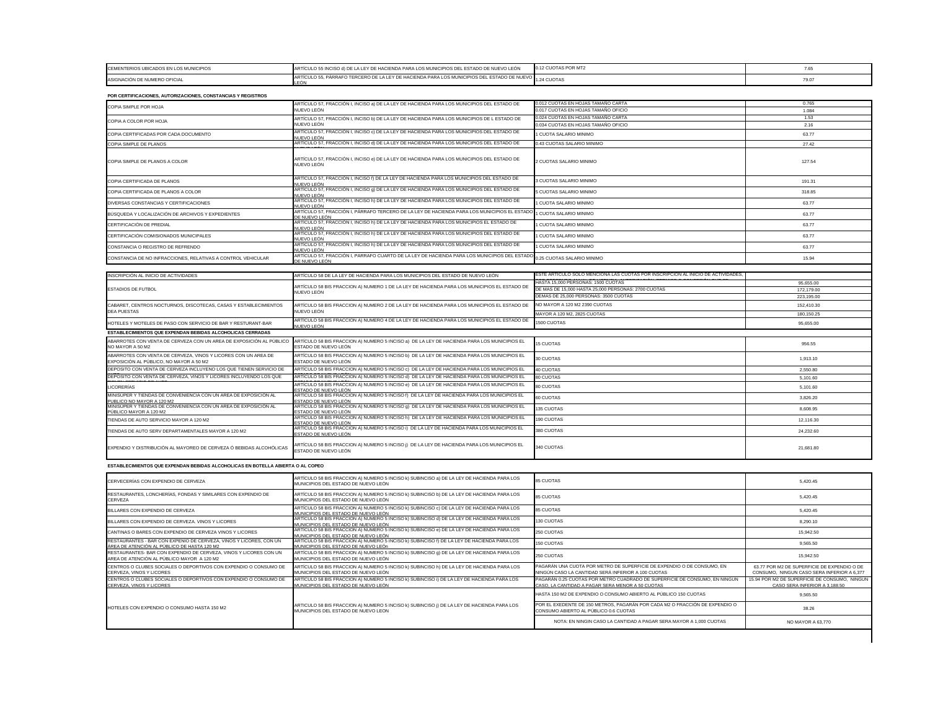| CEMENTERIOS UBICADOS EN LOS MUNICIPIOS | RTÍCULO 55 INCISO d) DE LA LEY DE HACIENDA PARA LOS MUNICIPIOS DEL ESTADO DE NUEVO LEÓN                | 0.12 CUOTAS POR MT2 |                 |
|----------------------------------------|--------------------------------------------------------------------------------------------------------|---------------------|-----------------|
| ASIGNACIÓN DE NUMERO OFICIAL           | ARTÍCULO 55, PÁRRAFO TERCERO DE LA LEY DE HACIENDA PARA LOS MUNICIPIOS DEL ESTADO DE NUEVO 1.24 CUOTAS |                     | 70 <sub>1</sub> |

| POR CERTIFICACIONES, AUTORIZACIONES, CONSTANCIAS Y REGISTROS                                                     |                                                                                                                                             |                                                                                                                                  |                                                                                             |
|------------------------------------------------------------------------------------------------------------------|---------------------------------------------------------------------------------------------------------------------------------------------|----------------------------------------------------------------------------------------------------------------------------------|---------------------------------------------------------------------------------------------|
| COPIA SIMPLE POR HOJA                                                                                            | ARTÍCULO 57, FRACCIÓN I, INCISO a) DE LA LEY DE HACIENDA PARA LOS MUNICIPIOS DEL ESTADO DE                                                  | 0.012 CUOTAS EN HOJAS TAMAÑO CARTA                                                                                               | 0.765                                                                                       |
|                                                                                                                  | NUEVO LEÓN                                                                                                                                  | 0.017 CUOTAS EN HOJAS TAMAÑO OFICIO<br>0.024 CUOTAS EN HOJAS TAMAÑO CARTA                                                        | 1.084                                                                                       |
| COPIA A COLOR POR HOJA                                                                                           | ARTÍCULO 57, FRACCIÓN I, INCISO b) DE LA LEY DE HACIENDA PARA LOS MUNICIPIOS DE L ESTADO DE<br>NUEVO LEÓN                                   | 0.034 CUOTAS EN HOJAS TAMAÑO OFICIO                                                                                              | 1.53<br>2.16                                                                                |
| COPIA CERTIFICADAS POR CADA DOCUMENTO                                                                            | ARTÍCULO 57, FRACCIÓN I, INCISO c) DE LA LEY DE HACIENDA PARA LOS MUNICIPIOS DEL ESTADO DE                                                  | CUOTA SALARIO MINIMO                                                                                                             |                                                                                             |
|                                                                                                                  | NUEVO LEÓN                                                                                                                                  |                                                                                                                                  | 63.77                                                                                       |
| COPIA SIMPLE DE PLANOS                                                                                           | ARTÍCULO 57, FRACCIÓN I, INCISO d) DE LA LEY DE HACIENDA PARA LOS MUNICIPIOS DEL ESTADO DE                                                  | 0.43 CUOTAS SALARIO MINIMO                                                                                                       | 27.42                                                                                       |
| COPIA SIMPLE DE PLANOS A COLOR                                                                                   | ARTÍCULO 57, FRACCIÓN I, INCISO e) DE LA LEY DE HACIENDA PARA LOS MUNICIPIOS DEL ESTADO DE<br>NUEVO LEÓN                                    | 2 CUOTAS SALARIO MINIMO                                                                                                          | 127.54                                                                                      |
| COPIA CERTIFICADA DE PLANOS                                                                                      | ARTÍCULO 57, FRACCIÓN I, INCISO f) DE LA LEY DE HACIENDA PARA LOS MUNICIPIOS DEL ESTADO DE<br>NUEVO LEÓN                                    | 3 CUOTAS SALARIO MINIMO                                                                                                          | 191.31                                                                                      |
| COPIA CERTIFICADA DE PLANOS A COLOR                                                                              | ARTÍCULO 57, FRACCIÓN I, INCISO 9) DE LA LEY DE HACIENDA PARA LOS MUNICIPIOS DEL ESTADO DE<br>NUEVO LEÓN                                    | 5 CUOTAS SALARIO MINIMO                                                                                                          | 318.85                                                                                      |
| DIVERSAS CONSTANCIAS Y CERTIFICACIONES                                                                           | ARTÍCULO 57, FRACCIÓN I, INCISO h) DE LA LEY DE HACIENDA PARA LOS MUNICIPIOS DEL ESTADO DE<br>NUEVO LEÓN                                    | CUOTA SALARIO MINIMO                                                                                                             | 63.77                                                                                       |
| BÚSQUEDA Y LOCALIZACIÓN DE ARCHIVOS Y EXPEDIENTES                                                                | ARTÍCULO 57, FRACCIÓN I, PÁRRAFO TERCERO DE LA LEY DE HACIENDA PARA LOS MUNICIPIOS EL ESTAD<br>)E NUEVO LEÓN                                | 1 CUOTA SALARIO MINIMO                                                                                                           | 63.77                                                                                       |
| CERTIFICACIÓN DE PREDIAL                                                                                         | ARTÍCULO 57, FRACCIÓN I, INCISO h) DE LA LEY DE HACIENDA PARA LOS MUNICIPIOS EL ESTADO DE<br>NUEVO LEÓN                                     | 1 CUOTA SALARIO MINIMO                                                                                                           | 63.77                                                                                       |
| CERTIFICACIÓN COMISIONADOS MUNICIPALES                                                                           | ARTÍCULO 57, FRACCIÓN I, INCISO h) DE LA LEY DE HACIENDA PARA LOS MUNICIPIOS DEL ESTADO DE<br>NUEVO LEÓN                                    | <b>CUOTA SALARIO MINIMO</b>                                                                                                      | 63.77                                                                                       |
| CONSTANCIA O REGISTRO DE REFRENDO                                                                                | ARTÍCULO 57, FRACCIÓN I, INCISO h) DE LA LEY DE HACIENDA PARA LOS MUNICIPIOS DEL ESTADO DE<br>NUEVO LEÓN                                    | 1 CUOTA SALARIO MINIMO                                                                                                           | 63.77                                                                                       |
| CONSTANCIA DE NO INFRACCIONES, RELATIVAS A CONTROL VEHICULAR                                                     | ARTÍCULO 57, FRACCIÓN I, PARRAFO CUARTO DE LA LEY DE HACIENDA PARA LOS MUNICIPIOS DEL ESTAD<br>DE NUEVO LEÓN                                | 0.25 CUOTAS SALARIO MINIMO                                                                                                       | 15.94                                                                                       |
|                                                                                                                  |                                                                                                                                             |                                                                                                                                  |                                                                                             |
| INSCRIPCIÓN AL INICIO DE ACTIVIDADES                                                                             | ARTÍCULO 58 DE LA LEY DE HACIENDA PARA LOS MUNICIPIOS DEL ESTADO DE NUEVO LEÓN                                                              | ESTE ARTÍCULO SOLO MENCIONA LAS CUOTAS POR INSCRIPCIÓN AL INICIO DE ACTIVIDADES                                                  |                                                                                             |
|                                                                                                                  | ARTÍCULO 58 BIS FRACCION A) NUMERO 1 DE LA LEY DE HACIENDA PARA LOS MUNICIPIOS EL ESTADO DE                                                 | HASTA 15,000 PERSONAS: 1500 CUOTAS                                                                                               | 95,655.00                                                                                   |
| <b>ESTADIOS DE FUTBOL</b>                                                                                        | NUEVO LEÓN                                                                                                                                  | DE MAS DE 15,000 HASTA 25,000 PERSONAS: 2700 CUOTAS                                                                              | 172,179.00                                                                                  |
|                                                                                                                  |                                                                                                                                             | DEMAS DE 25,000 PERSONAS: 3500 CUOTAS                                                                                            | 223,195.00                                                                                  |
| CABARET, CENTROS NOCTURNOS, DISCOTECAS, CASAS Y ESTABLECIMIENTOS<br><b>DEA PUESTAS</b>                           | ARTÍCULO 58 BIS FRACCION A) NUMERO 2 DE LA LEY DE HACIENDA PARA LOS MUNICIPIOS EL ESTADO DE<br>NUEVO LEÓN                                   | NO MAYOR A 120 M2 2390 CUOTAS                                                                                                    | 152,410.30                                                                                  |
|                                                                                                                  |                                                                                                                                             | MAYOR A 120 M2, 2825 CUOTAS                                                                                                      | 180,150.25                                                                                  |
| HOTELES Y MOTELES DE PASO CON SERVICIO DE BAR Y RESTURANT-BAR                                                    | ARTÍCULO 58 BIS FRACCION A) NUMERO 4 DE LA LEY DE HACIENDA PARA LOS MUNICIPIOS EL ESTADO DE<br>NUEVO LEÓN                                   | 1500 CUOTAS                                                                                                                      | 95,655.00                                                                                   |
| ESTABLECIMIENTOS QUE EXPENDAN BEBIDAS ALCOHOLICAS CERRADAS                                                       |                                                                                                                                             |                                                                                                                                  |                                                                                             |
| ABARROTES CON VENTA DE CERVEZA CON UN AREA DE EXPOSICIÓN AL PÚBLICO<br>NO MAYOR A 50 M2                          | ARTÍCULO 58 BIS FRACCION A) NUMERO 5 INCISO a) DE LA LEY DE HACIENDA PARA LOS MUNICIPIOS EL<br>ESTADO DE NUEVO LEÓN                         | <b>15 CUOTAS</b>                                                                                                                 | 956.55                                                                                      |
| ABARROTES CON VENTA DE CERVEZA, VINOS Y LICORES CON UN AREA DE<br>EXPOSICIÓN AL PÚBLICO, NO MAYOR A 50 M2        | ARTÍCULO 58 BIS FRACCION A) NUMERO 5 INCISO b) DE LA LEY DE HACIENDA PARA LOS MUNICIPIOS EL<br>ESTADO DE NUEVO LEÓN                         | 30 CUOTAS                                                                                                                        | 1,913.10                                                                                    |
| DEPOSITO CON VENTA DE CERVEZA INCLUYENO LOS QUE TIENEN SERVICIO DE                                               | ARTÍCULO 58 BIS FRACCION A) NUMERO 5 INCISO c)  DE LA LEY DE HACIENDA PARA LOS MUNICIPIOS EL                                                | 40 CUOTAS                                                                                                                        | 2,550.80                                                                                    |
| DEPOSITO CON VENTA DE CERVEZA, VINOS Y LICORES INCLUYENDO LOS QUE                                                | ARTÍCULO 58 BIS FRACCION A) NUMERO 5 INCISO d) DE LA LEY DE HACIENDA PARA LOS MUNICIPIOS EL                                                 | 80 CUOTAS                                                                                                                        | 5,101.60                                                                                    |
| LICORERÍAS                                                                                                       | ARTICULO 58 BIS FRACCION A) NUMERO 5 INCISO e)  DE LA LEY DE HACIENDA PARA LOS MUNICIPIOS EL<br>ESTADO DE NUEVO LEÓN                        | 80 CUOTAS                                                                                                                        | 5,101.60                                                                                    |
| MINISÚPER Y TIENDAS DE CONVENIENCIA CON UN AREA DE EXPOSICIÓN AL<br>PUBLICO NO MAYOR A 120 M2                    | ARTÍCULO 58 BIS FRACCION A) NUMERO 5 INCISO f) DE LA LEY DE HACIENDA PARA LOS MUNICIPIOS EL<br>ESTADO DE NUEVO LEÓN                         | 60 CUOTAS                                                                                                                        | 3,826.20                                                                                    |
| MINISÚPER Y TIENDAS DE CONVENIENCIA CON UN AREA DE EXPOSICIÓN AL<br>PÚBLICO MAYOR A 120 M2                       | ARTÍCULO 58 BIS FRACCION A) NUMERO 5 INCISO g) DE LA LEY DE HACIENDA PARA LOS MUNICIPIOS EL<br>ESTADO DE NUEVO LEÓN                         | 135 CUOTAS                                                                                                                       | 8,608.95                                                                                    |
| TIENDAS DE AUTO SERVICIO MAYOR A 120 M2                                                                          | ARTÍCULO 58 BIS FRACCION A) NUMERO 5 INCISO h) DE LA LEY DE HACIENDA PARA LOS MUNICIPIOS EL                                                 | 190 CUOTAS                                                                                                                       | 12,116.30                                                                                   |
| TIENDAS DE AUTO SERV DEPARTAMENTALES MAYOR A 120 M2                                                              | ESTADO DE NUEVO LEÓN<br>ARTÍCULO 58 BIS FRACCION A) NUMERO 5 INCISO i) DE LA LEY DE HACIENDA PARA LOS MUNICIPIOS EL                         | 380 CUOTAS                                                                                                                       | 24,232.60                                                                                   |
| EXPENDIO Y DISTRIBUCIÓN AL MAYOREO DE CERVEZA Ó BEBIDAS ALCOHÓLICAS                                              | ESTADO DE NUEVO LEÓN<br>ARTÍCULO 58 BIS FRACCION A) NUMERO 5 INCISO ¡) DE LA LEY DE HACIENDA PARA LOS MUNICIPIOS EL<br>ESTADO DE NUEVO LEÓN | 340 CUOTAS                                                                                                                       | 21,681.80                                                                                   |
| ESTABLECIMIENTOS QUE EXPENDAN BEBIDAS ALCOHOLICAS EN BOTELLA ABIERTA O AL COPEO                                  |                                                                                                                                             |                                                                                                                                  |                                                                                             |
| CERVECERÍAS CON EXPENDIO DE CERVEZA                                                                              | ARTÍCULO 58 BIS FRACCION A) NUMERO 5 INCISO k) SUBINCISO a) DE LA LEY DE HACIENDA PARA LOS<br>MUNICIPIOS DEL ESTADO DE NUEVO LEÓN           | 85 CUOTAS                                                                                                                        | 5,420.45                                                                                    |
| RESTAURANTES, LONCHERÍAS, FONDAS Y SIMILARES CON EXPENDIO DE<br>CERVEZA                                          | ARTÍCULO 58 BIS FRACCION A) NUMERO 5 INCISO k) SUBINCISO b) DE LA LEY DE HACIENDA PARA LOS<br>MUNICIPIOS DEL ESTADO DE NUEVO LEÓN           | 85 CUOTAS                                                                                                                        | 5,420.45                                                                                    |
| BILLARES CON EXPENDIO DE CERVEZA                                                                                 | ARTÍCULO 58 BIS FRACCION A) NUMERO 5 INCISO k) SUBINCISO c) DE LA LEY DE HACIENDA PARA LOS                                                  | 85 CUOTAS                                                                                                                        | 5,420.45                                                                                    |
| BILLARES CON EXPENDIO DE CERVEZA. VINOS Y LICORES                                                                | MUNICIPIOS DEL ESTADO DE NUEVO LEÓN<br>ARTÍCULO 58 BIS FRACCION A) NUMERO 5 INCISO k) SUBINCISO d) DE LA LEY DE HACIENDA PARA LOS           | 130 CUOTAS                                                                                                                       | 8,290.10                                                                                    |
| CANTINAS O BARES CON EXPENDIO DE CERVEZA VINOS Y LICORES                                                         | MUNICIPIOS DEL ESTADO DE NUEVO LEÓN<br>ARTÍCULO 58 BIS FRACCION A) NUMERO 5 INCISO k) SUBINCISO e) DE LA LEY DE HACIENDA PARA LOS           | 250 CUOTAS                                                                                                                       | 15,942.50                                                                                   |
| RESTAURANTES - BAR CON EXPENIO DE CERVEZA, VINOS Y LICORES, CON UN                                               | MUNICIPIOS DEL ESTADO DE NUEVO LEÓN<br>ARTÍCULO 58 BIS FRACCION A) NUMERO 5 INCISO k) SUBINCISO f) DE LA LEY DE HACIENDA PARA LOS           | 150 CUOTAS                                                                                                                       | 9,565.50                                                                                    |
| ÁREA DE ATENCIÓN AL PÚBLICO DE HASTA 120 M2<br>RESTAURANTES- BAR CON EXPENDIO DE CERVEZA, VINOS Y LICORES CON UN | MUNICIPIOS DEL ESTADO DE NUEVO LEÓn<br>ARTÍCULO 58 BIS FRACCION A) NUMERO 5 INCISO k) SUBINCISO g) DE LA LEY DE HACIENDA PARA LOS           | 250 CUOTAS                                                                                                                       | 15,942.50                                                                                   |
| AREA DE ATENCIÓN AL PÚBLICO MAYOR A 120 M2<br>CENTROS O CLUBES SOCIALES O DEPORTIVOS CON EXPENDIO O CONSUMO DE   | MUNICIPIOS DEL ESTADO DE NUEVO LEÓN<br>ARTÍCULO 58 BIS FRACCION A) NUMERO 5 INCISO k) SUBINCISO h) DE LA LEY DE HACIENDA PARA LOS           | PAGARÁN UNA CUOTA POR METRO DE SUPERFICIE DE EXPENDIO O DE CONSUMO, EN                                                           | 63.77 POR M2 DE SUPERFICIE DE EXPENDIO O DE                                                 |
| CERVEZA, VINOS Y LICORES<br>CENTROS O CLUBES SOCIALES O DEPORTIVOS CON EXPENDIO O CONSUMO DE                     | MUNICIPIOS DEL ESTADO DE NUEVO LEÓN<br>ARTÍCULO 58 BIS FRACCION A) NUMERO 5 INCISO k) SUBINCISO i) DE LA LEY DE HACIENDA PARA LOS           | NINGÚN CASO LA CANTIDAD SERÁ INFERIOR A 100 CUOTAS<br>PAGARÁN 0.25 CUOTAS POR METRO CUADRADO DE SUPERFICIE DE CONSUMO, EN NINGUN | CONSUMO, NINGUN CASO SERA INFERIOR A 6,377<br>15.94 POR M2 DE SUPERFICIE DE CONSUMO, NINGUN |
| CERVEZA, VINOS Y LICORES                                                                                         | MUNICI <u>PIOS DEL ESTADO DE NUEVO LEÓN</u>                                                                                                 | CASO, LA CANTIDAD A PAGAR SERA MENOR A 50 CUOTAS                                                                                 | CASO SERA INFERIOR A 3,188.50                                                               |
|                                                                                                                  |                                                                                                                                             | HASTA 150 M2 DE EXPENDIO O CONSUMO ABIERTO AL PÚBLICO 150 CUOTAS                                                                 | 9,565.50                                                                                    |
| HOTELES CON EXPENDIO O CONSUMO HASTA 150 M2                                                                      | ARTICULO 58 BIS FRACCION A) NUMERO 5 INCISO k) SUBINCISO ¡) DE LA LEY DE HACIENDA PARA LOS<br>MUNICIPIOS DEL ESTADO DE NUEVO LEON           | POR EL EXEDENTE DE 150 METROS, PAGARÁN POR CADA M2 O FRACCIÓN DE EXPENDIO O<br>CONSUMO ABIERTO AL PÚBLICO 0.6 CUOTAS             | 38.26                                                                                       |
|                                                                                                                  |                                                                                                                                             | NOTA: EN NINGIN CASO LA CANTIDAD A PAGAR SERA MAYOR A 1.000 CUOTAS                                                               | NO MAYOR A 63,770                                                                           |

 $\mathbf{I}$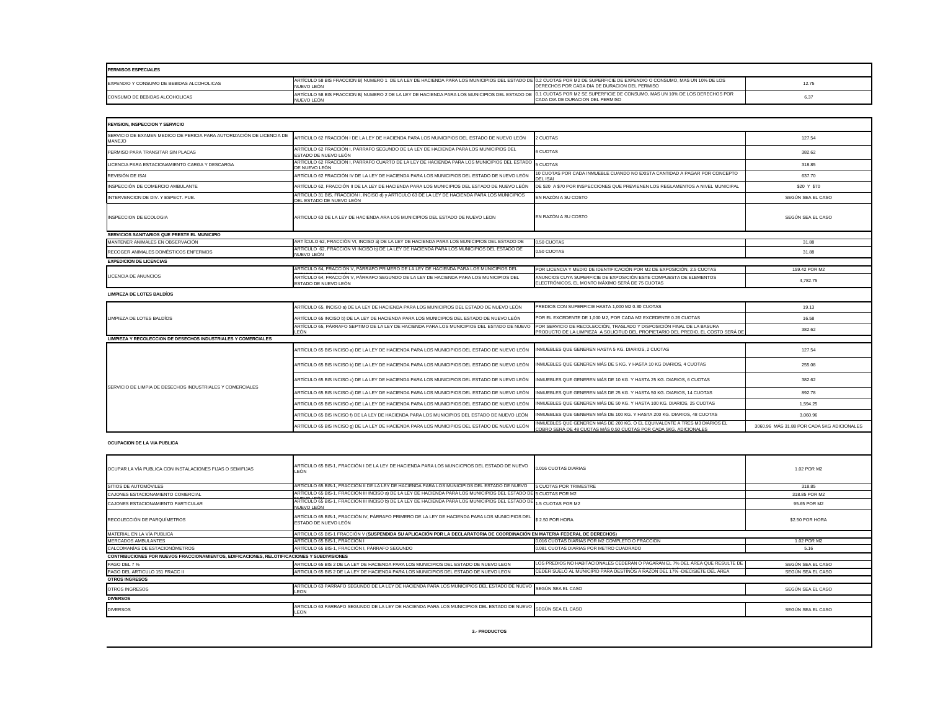| <b>PERMISOS ESPECIALES</b>                |                                                                                                                                                                                       |                                               |       |
|-------------------------------------------|---------------------------------------------------------------------------------------------------------------------------------------------------------------------------------------|-----------------------------------------------|-------|
| EXPENDIO Y CONSUMO DE BEBIDAS ALCOHOLICAS | ARTÍCULO 58 BIS FRACCION B) NUMERO 1 DE LA LEY DE HACIENDA PARA LOS MUNICIPIOS DEL ESTADO DE 0.2 CUOTAS POR M2 DE SUPERFICIE DE EXPENDIO O CONSUMO, MAS UN 10% DE LOS<br>√UEVO LEÓN   | DERECHOS POR CADA DIA DE DURACION DEL PERMISO | 12.75 |
| CONSUMO DE BEBIDAS ALCOHOLICAS            | ARTÍCULO 58 BIS FRACCION B) NUMERO 2 DE LA LEY DE HACIENDA PARA LOS MUNICIPIOS DEL ESTADO DE 10.1 CUOTAS POR M2 SE SUPERFICIE DE CONSUMO. MAS UN 10% DE LOS DERECHOS POR<br>JEVO LEÓN | CADA DIA DE DURACION DEL PERMISO              |       |

| <b>REVISION, INSPECCION Y SERVICIO</b>                                                                      |                                                                                                                                                                   |                                                                                                                                                 |                                            |
|-------------------------------------------------------------------------------------------------------------|-------------------------------------------------------------------------------------------------------------------------------------------------------------------|-------------------------------------------------------------------------------------------------------------------------------------------------|--------------------------------------------|
| SERVICIO DE EXAMEN MEDICO DE PERICIA PARA AUTORIZACIÓN DE LICENCIA DE<br><b>MANEJO</b>                      | ARTÍCULO 62 FRACCIÓN I DE LA LEY DE HACIENDA PARA LOS MUNICIPIOS DEL ESTADO DE NUEVO LEÓN                                                                         | 2 CUOTAS                                                                                                                                        | 127.54                                     |
| PERMISO PARA TRANSITAR SIN PLACAS                                                                           | ARTÍCULO 62 FRACCIÓN I, PÁRRAFO SEGUNDO DE LA LEY DE HACIENDA PARA LOS MUNICIPIOS DEL<br>ESTADO DE NUEVO LEÓN                                                     | <b>6 CUOTAS</b>                                                                                                                                 | 382.62                                     |
| LICENCIA PARA ESTACIONAMIENTO CARGA Y DESCARGA                                                              | ARTÍCULO 62 FRACCIÓN I, PÁRRAFO CUARTO DE LA LEY DE HACIENDA PARA LOS MUNICIPIOS DEL ESTADO<br>DE NUEVO LEÓN                                                      | 5 CUOTAS                                                                                                                                        | 318.85                                     |
| REVISIÓN DE ISAI                                                                                            | ARTÍCULO 62 FRACCIÓN IV DE LA LEY DE HACIENDA PARA LOS MUNICIPIOS DEL ESTADO DE NUEVO LEÓN                                                                        | 10 CUOTAS POR CADA INMUEBLE CUANDO NO EXISTA CANTIDAD A PAGAR POR CONCEPTO<br><b>DEL ISAI</b>                                                   | 637.70                                     |
| INSPECCIÓN DE COMERCIO AMBULANTE                                                                            | ARTÍCULO 62, FRACCIÓN II DE LA LEY DE HACIENDA PARA LOS MUNICIPIOS DEL ESTADO DE NUEVO LEÓN                                                                       | DE \$20 A \$70 POR INSPECCIONES QUE PREVIENEN LOS REGLAMENTOS A NIVEL MUNICIPAL                                                                 | \$20 Y \$70                                |
| INTERVENCION DE DIV. Y ESPECT. PUB.                                                                         | ARTÍCULO 31 BIS, FRACCION I, INCISO d) y ARTÍCULO 63 DE LA LEY DE HACIENDA PARA LOS MUNICIPIOS                                                                    | EN RAZÓN A SU COSTO                                                                                                                             | SEGÚN SEA EL CASO                          |
| INSPECCION DE ECOLOGIA                                                                                      | DEL ESTADO DE NUEVO LEÓN<br>ARTICULO 63 DE LA LEY DE HACIENDA ARA LOS MUNICIPIOS DEL ESTADO DE NUEVO LEON                                                         | EN RAZÓN A SU COSTO                                                                                                                             | SEGÚN SEA EL CASO                          |
| SERVICIOS SANITARIOS QUE PRESTE EL MUNICIPIO                                                                |                                                                                                                                                                   |                                                                                                                                                 |                                            |
| MANTENER ANIMALES EN OBSERVACIÓN                                                                            | ART ÍCULO 62, FRACCIÓN VI, INCISO a) DE LA LEY DE HACIENDA PARA LOS MUNICIPIOS DEL ESTADO DE                                                                      | 0.50 CUOTAS                                                                                                                                     | 31.88                                      |
| RECOGER ANIMALES DOMÉSTICOS ENFERMOS                                                                        | ARTÍCULO 62, FRACCIÓN VI INCISO b) DE LA LEY DE HACIENDA PARA LOS MUNICIPIOS DEL ESTADO DE<br>NUEVO LEÓN                                                          | 0.50 CUOTAS                                                                                                                                     | 31.88                                      |
| <b>EXPEDICION DE LICENCIAS</b>                                                                              |                                                                                                                                                                   |                                                                                                                                                 |                                            |
|                                                                                                             | ARTÍCULO 64, FRACCIÓN V, PÁRRAFO PRIMERO DE LA LEY DE HACIENDA PARA LOS MUNICIPIOS DEL                                                                            | POR LICENCIA Y MEDIO DE IDENTIFICACIÓN POR M2 DE EXPOSICIÓN, 2.5 CUOTAS                                                                         | 159.42 POR M2                              |
| LICENCIA DE ANUNCIOS                                                                                        | ARTÍCULO 64, FRACCIÓN V, PÁRRAFO SEGUNDO DE LA LEY DE HACIENDA PARA LOS MUNICIPIOS DEL<br>ESTADO DE NUEVO LEÓN                                                    | ANUNCIOS CUYA SUPERFICIE DE EXPOSICIÓN ESTE COMPUESTA DE ELEMENTOS<br>ELECTRÓNICOS, EL MONTO MÁXIMO SERÁ DE 75 CUOTAS                           | 4,782.75                                   |
| <b>LIMPIEZA DE LOTES BALDIOS</b>                                                                            |                                                                                                                                                                   |                                                                                                                                                 |                                            |
|                                                                                                             | ARTÍCULO 65, INCISO a) DE LA LEY DE HACIENDA PARA LOS MUNICIPIOS DEL ESTADO DE NUEVO LEÓN                                                                         | PREDIOS CON SUPERFICIE HASTA 1,000 M2 0.30 CUOTAS                                                                                               | 19.13                                      |
| LIMPIEZA DE LOTES BALDIOS                                                                                   | ARTÍCULO 65 INCISO b) DE LA LEY DE HACIENDA PARA LOS MUNICIPIOS DEL ESTADO DE NUEVO LEÓN                                                                          | POR EL EXCEDENTE DE 1,000 M2, POR CADA M2 EXCEDENTE 0.26 CUOTAS                                                                                 | 16.58                                      |
|                                                                                                             | ARTÍCULO 65, PÁRRAFO SEPTIMO DE LA LEY DE HACIENDA PARA LOS MUNICIPIOS DEL ESTADO DE NUEVO POR SERVICIO DE RECOLECCIÓN, TRASLADO Y DISPOSICIÓN FINAL DE LA BASURA |                                                                                                                                                 | 382.62                                     |
| LIMPIEZA Y RECOLECCION DE DESECHOS INDUSTRIALES Y COMERCIALES                                               | <b>LEÓN</b>                                                                                                                                                       | PRODUCTO DE LA LIMPIEZA A SOLICITUD DEL PROPIETARIO DEL PREDIO, EL COSTO SERÁ DE                                                                |                                            |
|                                                                                                             | ARTÍCULO 65 BIS INCISO a) DE LA LEY DE HACIENDA PARA LOS MUNICIPIOS DEL ESTADO DE NUEVO LEÓN                                                                      | INMUEBLES QUE GENEREN HASTA 5 KG. DIARIOS, 2 CUOTAS                                                                                             | 127.54                                     |
|                                                                                                             | ARTÍCULO 65 BIS INCISO b) DE LA LEY DE HACIENDA PARA LOS MUNICIPIOS DEL ESTADO DE NUEVO LEÓN                                                                      | INMUEBLES QUE GENEREN MÁS DE 5 KG. Y HASTA 10 KG DIARIOS, 4 CUOTAS                                                                              | 255.08                                     |
|                                                                                                             | ARTÍCULO 65 BIS INCISO c) DE LA LEY DE HACIENDA PARA LOS MUNICIPIOS DEL ESTADO DE NUEVO LEÓN                                                                      | INMUEBLES QUE GENEREN MÁS DE 10 KG. Y HASTA 25 KG. DIARIOS, 6 CUOTAS                                                                            | 382.62                                     |
| SERVICIO DE LIMPIA DE DESECHOS INDUSTRIALES Y COMERCIALES                                                   | ARTÍCULO 65 BIS INCISO d) DE LA LEY DE HACIENDA PARA LOS MUNICIPIOS DEL ESTADO DE NUEVO LEÓN                                                                      | INMUEBLES QUE GENEREN MÁS DE 25 KG. Y HASTA 50 KG. DIARIOS, 14 CUOTAS                                                                           | 892.78                                     |
|                                                                                                             | ARTÍCULO 65 BIS INCISO e) DE LA LEY DE HACIENDA PARA LOS MUNICIPIOS DEL ESTADO DE NUEVO LEÓN                                                                      | INMUEBLES QUE GENEREN MÁS DE 50 KG. Y HASTA 100 KG. DIARIOS, 25 CUOTAS                                                                          | 1,594.25                                   |
|                                                                                                             | ARTÍCULO 65 BIS INCISO f) DE LA LEY DE HACIENDA PARA LOS MUNICIPIOS DEL ESTADO DE NUEVO LEÓN                                                                      | INMUEBLES QUE GENEREN MÁS DE 100 KG. Y HASTA 200 KG. DIARIOS, 48 CUOTAS                                                                         | 3,060.96                                   |
|                                                                                                             | ARTÍCULO 65 BIS INCISO q) DE LA LEY DE HACIENDA PARA LOS MUNICIPIOS DEL ESTADO DE NUEVO LEÓN                                                                      | INMUEBLES QUE GENEREN MÅS DE 200 KG. Ó EL EQUIVALENTE A TRES M3 DIARIOS EL<br>COBRO SERÁ DE 48 CUOTAS MÁS 0.50 CUOTAS POR CADA 5KG. ADICIONALES | 3060.96 MAS 31.88 POR CADA 5KG ADICIONALES |
| <b>OCUPACION DE LA VIA PUBLICA</b>                                                                          |                                                                                                                                                                   |                                                                                                                                                 |                                            |
| OCUPAR LA VÍA PUBLICA CON INSTALACIONES FIJAS O SEMIFIJAS                                                   | ARTÍCULO 65 BIS-1, FRACCIÓN I DE LA LEY DE HACIENDA PARA LOS MUNCICPIOS DEL ESTADO DE NUEVO<br>LEÓN                                                               | 0.016 CUOTAS DIARIAS                                                                                                                            | 1.02 POR M2                                |
| SITIOS DE AUTOMÓVILES                                                                                       | ARTÍCULO 65 BIS-1, FRACCIÓN II DE LA LEY DE HACIENDA PARA LOS MUNICIPIOS DEL ESTADO DE NUEVO                                                                      | 5 CUOTAS POR TRIMESTRE                                                                                                                          | 318.85                                     |
| CAJONES ESTACIONAMIENTO COMERCIAL                                                                           | ARTÍCULO 65 BIS-1, FRACCIÓN III INCISO a) DE LA LEY DE HACIENDA PARA LOS MUNICIPIOS DEL ESTADO D                                                                  | 5 CUOTAS POR M2                                                                                                                                 | 318.85 POR M2                              |
| CAJONES ESTACIONAMIENTO PARTICULAR                                                                          | ARTÍCULO 65 BIS-1, FRACCIÓN III INCISO b) DE LA LEY DE HACIENDA PARA LOS MUNICIPIOS DEL ESTADO D<br>NUEVO LEÓN                                                    | 1.5 CUOTAS POR M2                                                                                                                               | 95.65 POR M2                               |
| RECOLECCIÓN DE PARQUÍMETROS                                                                                 | ARTÍCULO 65 BIS-1, FRACCIÓN IV, PÁRRAFO PRIMERO DE LA LEY DE HACIENDA PARA LOS MUNICIPIOS DEI<br>ESTADO DE NUEVO LEÓN                                             | \$2.50 POR HORA                                                                                                                                 | \$2.50 POR HORA                            |
| MATERIAL EN LA VÍA PUBLICA                                                                                  | ARTÍCULO 65 BIS-1 FRACCIÓN V (SUSPENDIDA SU APLICACIÓN POR LA DECLARATORIA DE COORDINACIÓN EN MATERIA FEDERAL DE DERECHOS)                                        |                                                                                                                                                 |                                            |
| <b>MERCADOS AMBULANTES</b>                                                                                  | ARTÍCULO 65 BIS-1, FRACCIÓN I                                                                                                                                     | 0.016 CUOTAS DIARIAS POR M2 COMPLETO O FRACCION                                                                                                 | 1.02 POR M2                                |
| CALCOMANÍAS DE ESTACIONÓMETROS                                                                              | ARTÍCULO 65 BIS-1, FRACCIÓN I, PÁRRAFO SEGUNDO                                                                                                                    | 0.081 CUOTAS DIARIAS POR METRO CUADRADO                                                                                                         | 5.16                                       |
| CONTRIBUCIONES POR NUEVOS FRACCIONAMIENTOS, EDIFICACIONES, RELOTIFICACIONES Y SUBDIVISIONES<br>PAGO DEL 7 % | ARTICULO 65 BIS 2 DE LA LEY DE HACIENDA PARA LOS MUNICIPIOS DEL ESTADO DE NUEVO LEON                                                                              | LOS PREDIOS NO HABITACIONALES CEDERÁN O PAGARÁN EL 7% DEL ÁREA QUE RESULTE DE                                                                   | SEGÚN SEA EL CASO                          |
| PAGO DEL ARTICULO 151 FRACC II                                                                              | ARTICULO 65 BIS 2 DE LA LEY DE HACIENDA PARA LOS MUNICIPIOS DEL ESTADO DE NUEVO LEON                                                                              | CEDER SUELO AL MUNICIPIO PARA DESTINOS A RAZÓN DEL 17% - DIECISIETE DEL ÁREA                                                                    | SEGÚN SEA EL CASO                          |
| <b>OTROS INGRESOS</b>                                                                                       |                                                                                                                                                                   |                                                                                                                                                 |                                            |
| OTROS INGRESOS                                                                                              | ARTICULO 63 PARRAFO SEGUNDO DE LA LEY DE HACIENDA PARA LOS MUNICIPIOS DEL ESTADO DE NUEVO SEGÚN SEA EL CASO<br><b>LEON</b>                                        |                                                                                                                                                 | SEGÚN SEA EL CASO                          |
| <b>DIVERSOS</b>                                                                                             |                                                                                                                                                                   |                                                                                                                                                 |                                            |
| <b>DIVERSOS</b>                                                                                             | ARTICULO 63 PARRAFO SEGUNDO DE LA LEY DE HACIENDA PARA LOS MUNICIPIOS DEL ESTADO DE NUEVO<br>LEON                                                                 | SEGÚN SEA EL CASO                                                                                                                               | SEGÚN SEA EL CASO                          |
| 3.- PRODUCTOS                                                                                               |                                                                                                                                                                   |                                                                                                                                                 |                                            |

| <b>REVISION, INSPECCION Y SERVICIO</b>                                                      |                                                                                                                                                                                                                        |                                                                                                                       |                                            |
|---------------------------------------------------------------------------------------------|------------------------------------------------------------------------------------------------------------------------------------------------------------------------------------------------------------------------|-----------------------------------------------------------------------------------------------------------------------|--------------------------------------------|
| SERVICIO DE EXAMEN MEDICO DE PERICIA PARA AUTORIZACIÓN DE LICENCIA DE<br><b>MANEJO</b>      | ARTÍCULO 62 FRACCIÓN I DE LA LEY DE HACIENDA PARA LOS MUNICIPIOS DEL ESTADO DE NUEVO LEÓN                                                                                                                              | 2 CUOTAS                                                                                                              | 127.54                                     |
| PERMISO PARA TRANSITAR SIN PLACAS                                                           | ARTÍCULO 62 FRACCIÓN I, PÁRRAFO SEGUNDO DE LA LEY DE HACIENDA PARA LOS MUNICIPIOS DEL<br>ESTADO DE NUEVO LEÓN                                                                                                          | <b>6 CUOTAS</b>                                                                                                       | 382.62                                     |
| LICENCIA PARA ESTACIONAMIENTO CARGA Y DESCARGA                                              | ARTÍCULO 62 FRACCIÓN I, PÁRRAFO CUARTO DE LA LEY DE HACIENDA PARA LOS MUNICIPIOS DEL ESTADO<br>DE NUEVO LEÓN                                                                                                           | 5 CUOTAS                                                                                                              | 318.85                                     |
| REVISIÓN DE ISAI                                                                            | ARTÍCULO 62 FRACCIÓN IV DE LA LEY DE HACIENDA PARA LOS MUNICIPIOS DEL ESTADO DE NUEVO LEÓN                                                                                                                             | 10 CUOTAS POR CADA INMUEBLE CUANDO NO EXISTA CANTIDAD A PAGAR POR CONCEPTO<br><b>DEL ISAI</b>                         | 637.70                                     |
| INSPECCIÓN DE COMERCIO AMBULANTE                                                            | ARTÍCULO 62, FRACCIÓN II DE LA LEY DE HACIENDA PARA LOS MUNICIPIOS DEL ESTADO DE NUEVO LEÓN                                                                                                                            | DE \$20 A \$70 POR INSPECCIONES QUE PREVIENEN LOS REGLAMENTOS A NIVEL MUNICIPAL                                       | \$20 Y \$70                                |
| INTERVENCION DE DIV. Y ESPECT. PUB.                                                         | ARTÍCULO 31 BIS, FRACCION I, INCISO d) y ARTÍCULO 63 DE LA LEY DE HACIENDA PARA LOS MUNICIPIOS                                                                                                                         | EN RAZÓN A SU COSTO                                                                                                   | SEGÚN SEA EL CASO                          |
| INSPECCION DE ECOLOGIA                                                                      | DEL ESTADO DE NUEVO LEÓN<br>ARTICULO 63 DE LA LEY DE HACIENDA ARA LOS MUNICIPIOS DEL ESTADO DE NUEVO LEON                                                                                                              | EN RAZÓN A SU COSTO                                                                                                   | SEGÚN SEA EL CASO                          |
| SERVICIOS SANITARIOS QUE PRESTE EL MUNICIPIO                                                |                                                                                                                                                                                                                        |                                                                                                                       |                                            |
| MANTENER ANIMALES EN OBSERVACIÓN                                                            | ART ÍCULO 62, FRACCIÓN VI, INCISO a) DE LA LEY DE HACIENDA PARA LOS MUNICIPIOS DEL ESTADO DE                                                                                                                           | 0.50 CUOTAS                                                                                                           | 31.88                                      |
| RECOGER ANIMALES DOMÉSTICOS ENFERMOS                                                        | ARTÍCULO 62, FRACCIÓN VI INCISO b) DE LA LEY DE HACIENDA PARA LOS MUNICIPIOS DEL ESTADO DE<br>NUEVO LEÓN                                                                                                               | 0.50 CUOTAS                                                                                                           | 31.88                                      |
| <b>EXPEDICION DE LICENCIAS</b>                                                              |                                                                                                                                                                                                                        |                                                                                                                       |                                            |
|                                                                                             | ARTÍCULO 64, FRACCIÓN V, PÁRRAFO PRIMERO DE LA LEY DE HACIENDA PARA LOS MUNICIPIOS DEL                                                                                                                                 | POR LICENCIA Y MEDIO DE IDENTIFICACIÓN POR M2 DE EXPOSICIÓN, 2.5 CUOTAS                                               | 159.42 POR M2                              |
| LICENCIA DE ANUNCIOS                                                                        | ARTÍCULO 64, FRACCIÓN V, PÁRRAFO SEGUNDO DE LA LEY DE HACIENDA PARA LOS MUNICIPIOS DEL<br>ESTADO DE NUEVO LEÓN                                                                                                         | ANUNCIOS CUYA SUPERFICIE DE EXPOSICIÓN ESTE COMPUESTA DE ELEMENTOS<br>ELECTRÓNICOS, EL MONTO MÁXIMO SERÁ DE 75 CUOTAS | 4,782.75                                   |
| <b>LIMPIEZA DE LOTES BALDIOS</b>                                                            |                                                                                                                                                                                                                        |                                                                                                                       |                                            |
|                                                                                             | ARTÍCULO 65, INCISO a) DE LA LEY DE HACIENDA PARA LOS MUNICIPIOS DEL ESTADO DE NUEVO LEÓN                                                                                                                              | PREDIOS CON SUPERFICIE HASTA 1,000 M2 0.30 CUOTAS                                                                     | 19.13                                      |
| LIMPIEZA DE LOTES BALDIOS                                                                   | ARTÍCULO 65 INCISO b) DE LA LEY DE HACIENDA PARA LOS MUNICIPIOS DEL ESTADO DE NUEVO LEÓN                                                                                                                               | POR EL EXCEDENTE DE 1,000 M2, POR CADA M2 EXCEDENTE 0.26 CUOTAS                                                       | 16.58                                      |
|                                                                                             | ARTÍCULO 65, PÁRRAFO SEPTIMO DE LA LEY DE HACIENDA PARA LOS MUNICIPIOS DEL ESTADO DE NUEVO                                                                                                                             | POR SERVICIO DE RECOLECCIÓN, TRASLADO Y DISPOSICIÓN FINAL DE LA BASURA                                                | 382.62                                     |
| <b>LIMPIEZA Y RECOLECCION DE DESECHOS INDUSTRIALES Y COMERCIALES</b>                        | LEÓN                                                                                                                                                                                                                   | PRODUCTO DE LA LIMPIEZA A SOLICITUD DEL PROPIETARIO DEL PREDIO, EL COSTO SERÁ DE                                      |                                            |
|                                                                                             | ARTÍCULO 65 BIS INCISO a) DE LA LEY DE HACIENDA PARA LOS MUNICIPIOS DEL ESTADO DE NUEVO LEÓN                                                                                                                           | INMUEBLES QUE GENEREN HASTA 5 KG. DIARIOS, 2 CUOTAS                                                                   | 127.54                                     |
|                                                                                             | ARTÍCULO 65 BIS INCISO b) DE LA LEY DE HACIENDA PARA LOS MUNICIPIOS DEL ESTADO DE NUEVO LEÓN                                                                                                                           | INMUEBLES QUE GENEREN MÁS DE 5 KG. Y HASTA 10 KG DIARIOS, 4 CUOTAS                                                    | 255.08                                     |
|                                                                                             | ARTÍCULO 65 BIS INCISO c) DE LA LEY DE HACIENDA PARA LOS MUNICIPIOS DEL ESTADO DE NUEVO LEÓN                                                                                                                           | INMUEBLES QUE GENEREN MÁS DE 10 KG. Y HASTA 25 KG. DIARIOS, 6 CUOTAS                                                  | 382.62                                     |
| SERVICIO DE LIMPIA DE DESECHOS INDUSTRIALES Y COMERCIALES                                   | ARTÍCULO 65 BIS INCISO d) DE LA LEY DE HACIENDA PARA LOS MUNICIPIOS DEL ESTADO DE NUEVO LEÓN                                                                                                                           | INMUEBLES QUE GENEREN MÁS DE 25 KG. Y HASTA 50 KG. DIARIOS, 14 CUOTAS                                                 | 892.78                                     |
|                                                                                             | ARTÍCULO 65 BIS INCISO e) DE LA LEY DE HACIENDA PARA LOS MUNICIPIOS DEL ESTADO DE NUEVO LEÓN                                                                                                                           | INMUEBLES QUE GENEREN MÁS DE 50 KG. Y HASTA 100 KG. DIARIOS, 25 CUOTAS                                                | 1,594.25                                   |
|                                                                                             | ARTÍCULO 65 BIS INCISO f) DE LA LEY DE HACIENDA PARA LOS MUNICIPIOS DEL ESTADO DE NUEVO LEÓN                                                                                                                           | INMUEBLES QUE GENEREN MÁS DE 100 KG. Y HASTA 200 KG. DIARIOS, 48 CUOTAS                                               | 3,060.96                                   |
|                                                                                             | ARTÍCULO 65 BIS INCISO 9) DE LA LEY DE HACIENDA PARA LOS MUNICIPIOS DEL ESTADO DE NUEVO LEÓN                                                                                                                           | INMUEBLES QUE GENEREN MÁS DE 200 KG. Ó EL EQUIVALENTE A TRES M3 DIARIOS EL                                            | 3060.96 MÁS 31.88 POR CADA 5KG ADICIONALES |
| <b>OCUPACION DE LA VIA PUBLICA</b>                                                          |                                                                                                                                                                                                                        | COBRO SERÁ DE 48 CUOTAS MÁS 0.50 CUOTAS POR CADA 5KG. ADICIONALES                                                     |                                            |
| OCUPAR LA VÍA PUBLICA CON INSTALACIONES FIJAS O SEMIFIJAS                                   | ARTÍCULO 65 BIS-1, FRACCIÓN I DE LA LEY DE HACIENDA PARA LOS MUNCICPIOS DEL ESTADO DE NUEVO<br>LEÓN                                                                                                                    | 0.016 CUOTAS DIARIAS                                                                                                  | 1.02 POR M2                                |
| SITIOS DE AUTOMÓVILES                                                                       | ARTÍCULO 65 BIS-1, FRACCIÓN II DE LA LEY DE HACIENDA PARA LOS MUNICIPIOS DEL ESTADO DE NUEVO                                                                                                                           | <b>5 CUOTAS POR TRIMESTRE</b>                                                                                         | 318.85                                     |
| CAJONES ESTACIONAMIENTO COMERCIAL                                                           | ARTÍCULO 65 BIS-1, FRACCIÓN III INCISO a) DE LA LEY DE HACIENDA PARA LOS MUNICIPIOS DEL ESTADO DE 5 CUOTAS POR M2<br>ARTÍCULO 65 BIS-1, FRACCIÓN III INCISO b) DE LA LEY DE HACIENDA PARA LOS MUNICIPIOS DEL ESTADO DI |                                                                                                                       | 318.85 POR M2                              |
| CAJONES ESTACIONAMIENTO PARTICULAR                                                          | NUEVO LEÓN                                                                                                                                                                                                             | <sup>E</sup> 1.5 CUOTAS POR M2                                                                                        | 95.65 POR M2                               |
| RECOLECCIÓN DE PARQUÍMETROS                                                                 | ARTÍCULO 65 BIS-1, FRACCIÓN IV, PÁRRAFO PRIMERO DE LA LEY DE HACIENDA PARA LOS MUNICIPIOS DEL<br>ESTADO DE NUEVO LEÓN                                                                                                  | \$2.50 POR HORA                                                                                                       | \$2.50 POR HORA                            |
| MATERIAL EN LA VÍA PUBLICA                                                                  | ARTÍCULO 65 BIS-1 FRACCIÓN V (SUSPENDIDA SU APLICACIÓN POR LA DECLARATORIA DE COORDINACIÓN EN MATERIA FEDERAL DE DERECHOS)                                                                                             |                                                                                                                       |                                            |
| <b>MERCADOS AMBULANTES</b><br>CALCOMANÍAS DE ESTACIONÓMETROS                                | ARTÍCULO 65 BIS-1, FRACCIÓN I<br>ARTÍCULO 65 BIS-1, FRACCIÓN I, PÁRRAFO SEGUNDO                                                                                                                                        | 0.016 CUOTAS DIARIAS POR M2 COMPLETO O FRACCION<br>0.081 CUOTAS DIARIAS POR METRO CUADRADO                            | 1.02 POR M2<br>5.16                        |
| CONTRIBUCIONES POR NUEVOS FRACCIONAMIENTOS, EDIFICACIONES, RELOTIFICACIONES Y SUBDIVISIONES |                                                                                                                                                                                                                        |                                                                                                                       |                                            |
| PAGO DEL 7 %                                                                                | ARTICULO 65 BIS 2 DE LA LEY DE HACIENDA PARA LOS MUNICIPIOS DEL ESTADO DE NUEVO LEON                                                                                                                                   | LOS PREDIOS NO HABITACIONALES CEDERÁN O PAGARÁN EL 7% DEL ÁREA QUE RESULTE DE                                         | SEGÚN SEA EL CASO                          |
| PAGO DEL ARTICULO 151 FRACC II                                                              | ARTICULO 65 BIS 2 DE LA LEY DE HACIENDA PARA LOS MUNICIPIOS DEL ESTADO DE NUEVO LEON                                                                                                                                   | CEDER SUELO AL MUNICIPIO PARA DESTINOS A RAZÓN DEL 17% - DIECISIETE DEL ÁREA                                          | SEGÚN SEA EL CASO                          |
| <b>OTROS INGRESOS</b>                                                                       |                                                                                                                                                                                                                        |                                                                                                                       |                                            |
| OTROS INGRESOS                                                                              | ARTICULO 63 PARRAFO SEGUNDO DE LA LEY DE HACIENDA PARA LOS MUNICIPIOS DEL ESTADO DE NUEVO<br>LEON                                                                                                                      | SEGÚN SEA EL CASO                                                                                                     | SEGÚN SEA EL CASO                          |
| <b>DIVERSOS</b>                                                                             |                                                                                                                                                                                                                        |                                                                                                                       |                                            |
| <b>DIVERSOS</b>                                                                             | ARTICULO 63 PARRAFO SEGUNDO DE LA LEY DE HACIENDA PARA LOS MUNICIPIOS DEL ESTADO DE NUEVO SEGUN SEA EL CASO<br>LEON                                                                                                    |                                                                                                                       | SEGÚN SEA EL CASO                          |
|                                                                                             | 3.- PRODUCTOS                                                                                                                                                                                                          |                                                                                                                       |                                            |